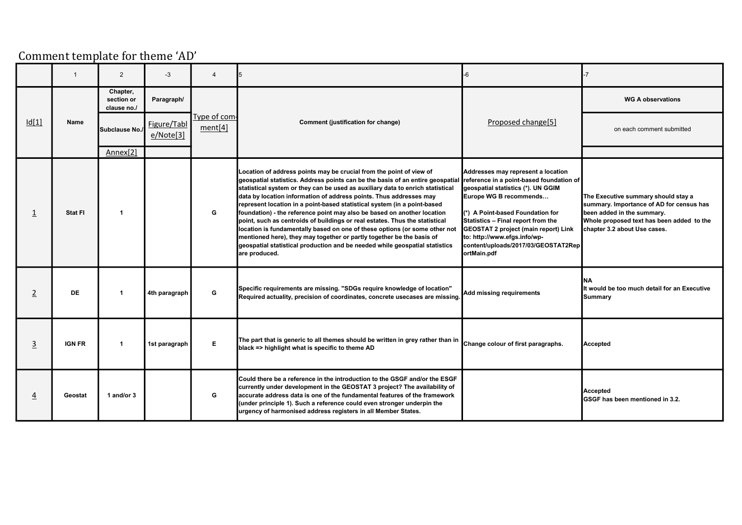## Comment template for theme 'AD'

|                |               | 2                                     | $-3$                     | $\overline{4}$          |                                                                                                                                                                                                                                                                                                                                                                                                                                                                                                                                                                                                                                                                                                                                                                                                            | $-6$                                                                                                                                                                                                                                                                                                                                                          |                                                                                                                                                                                            |
|----------------|---------------|---------------------------------------|--------------------------|-------------------------|------------------------------------------------------------------------------------------------------------------------------------------------------------------------------------------------------------------------------------------------------------------------------------------------------------------------------------------------------------------------------------------------------------------------------------------------------------------------------------------------------------------------------------------------------------------------------------------------------------------------------------------------------------------------------------------------------------------------------------------------------------------------------------------------------------|---------------------------------------------------------------------------------------------------------------------------------------------------------------------------------------------------------------------------------------------------------------------------------------------------------------------------------------------------------------|--------------------------------------------------------------------------------------------------------------------------------------------------------------------------------------------|
|                |               | Chapter,<br>section or<br>clause no./ | Paragraph/               |                         |                                                                                                                                                                                                                                                                                                                                                                                                                                                                                                                                                                                                                                                                                                                                                                                                            |                                                                                                                                                                                                                                                                                                                                                               | <b>WG A observations</b>                                                                                                                                                                   |
| Id[1]          | Name          | Subclause No./                        | Figure/Tabl<br>e/Note[3] | Type of com-<br>ment[4] | Comment (justification for change)                                                                                                                                                                                                                                                                                                                                                                                                                                                                                                                                                                                                                                                                                                                                                                         | Proposed change[5]                                                                                                                                                                                                                                                                                                                                            | on each comment submitted                                                                                                                                                                  |
|                |               | Annex[2]                              |                          |                         |                                                                                                                                                                                                                                                                                                                                                                                                                                                                                                                                                                                                                                                                                                                                                                                                            |                                                                                                                                                                                                                                                                                                                                                               |                                                                                                                                                                                            |
| 1              | Stat FI       |                                       |                          | G                       | Location of address points may be crucial from the point of view of<br>geospatial statistics. Address points can be the basis of an entire geospatial<br>statistical system or they can be used as auxiliary data to enrich statistical<br>data by location information of address points. Thus addresses may<br>represent location in a point-based statistical system (in a point-based<br>foundation) - the reference point may also be based on another location<br>point, such as centroids of buildings or real estates. Thus the statistical<br>location is fundamentally based on one of these options (or some other not<br>mentioned here), they may together or partly together be the basis of<br>geospatial statistical production and be needed while geospatial statistics<br>are produced. | Addresses may represent a location<br>reference in a point-based foundation of<br>geospatial statistics (*). UN GGIM<br>Europe WG B recommends<br>(*) A Point-based Foundation for<br>Statistics - Final report from the<br><b>GEOSTAT 2 project (main report) Link</b><br>to: http://www.efgs.info/wp-<br>content/uploads/2017/03/GEOSTAT2Rep<br>ortMain.pdf | The Executive summary should stay a<br>summary. Importance of AD for census has<br>been added in the summary.<br>Whole proposed text has been added to the<br>chapter 3.2 about Use cases. |
| $\overline{2}$ | <b>DE</b>     | $\mathbf{1}$                          | 4th paragraph            | G                       | Specific requirements are missing. "SDGs require knowledge of location"<br>Required actuality, precision of coordinates, concrete usecases are missing.                                                                                                                                                                                                                                                                                                                                                                                                                                                                                                                                                                                                                                                    | Add missing requirements                                                                                                                                                                                                                                                                                                                                      | NΑ<br>It would be too much detail for an Executive<br><b>Summary</b>                                                                                                                       |
| $\overline{3}$ | <b>IGN FR</b> | $\overline{1}$                        | 1st paragraph            | E                       | The part that is generic to all themes should be written in grey rather than in change colour of first paragraphs.<br>black => highlight what is specific to theme AD                                                                                                                                                                                                                                                                                                                                                                                                                                                                                                                                                                                                                                      |                                                                                                                                                                                                                                                                                                                                                               | Accepted                                                                                                                                                                                   |
| $\overline{4}$ | Geostat       | 1 and/or 3                            |                          | G                       | Could there be a reference in the introduction to the GSGF and/or the ESGF<br>currently under development in the GEOSTAT 3 project? The availability of<br>laccurate address data is one of the fundamental features of the framework_<br>(under principle 1). Such a reference could even stronger underpin the<br>urgency of harmonised address registers in all Member States.                                                                                                                                                                                                                                                                                                                                                                                                                          |                                                                                                                                                                                                                                                                                                                                                               | <b>Accepted</b><br>GSGF has been mentioned in 3.2.                                                                                                                                         |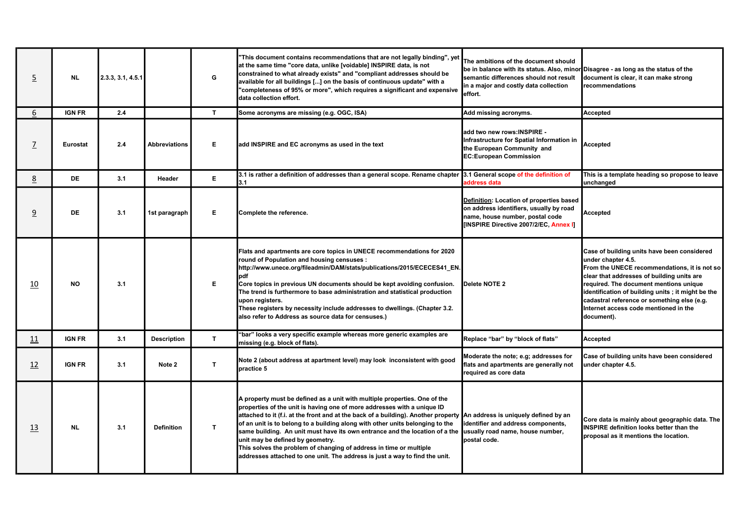| $\overline{5}$ | <b>NL</b>     | 2.3.3, 3.1, 4.5.1 |                      | G            | "This document contains recommendations that are not legally binding", yet<br>at the same time "core data, unlike [voidable] INSPIRE data, is not<br>constrained to what already exists" and "compliant addresses should be<br>available for all buildings [] on the basis of continuous update" with a<br>"completeness of 95% or more", which requires a significant and expensive<br>data collection effort.                                                                                                                                                                                                                                                           | The ambitions of the document should<br>be in balance with its status. Also, minor Disagree - as long as the status of the<br>semantic differences should not result<br>in a major and costly data collection<br>effort. | document is clear, it can make strong<br><u>Irecommendations</u>                                                                                                                                                                                                                                                                                                     |
|----------------|---------------|-------------------|----------------------|--------------|---------------------------------------------------------------------------------------------------------------------------------------------------------------------------------------------------------------------------------------------------------------------------------------------------------------------------------------------------------------------------------------------------------------------------------------------------------------------------------------------------------------------------------------------------------------------------------------------------------------------------------------------------------------------------|--------------------------------------------------------------------------------------------------------------------------------------------------------------------------------------------------------------------------|----------------------------------------------------------------------------------------------------------------------------------------------------------------------------------------------------------------------------------------------------------------------------------------------------------------------------------------------------------------------|
| 6              | <b>IGN FR</b> | 2.4               |                      | $\mathbf{T}$ | Some acronyms are missing (e.g. OGC, ISA)                                                                                                                                                                                                                                                                                                                                                                                                                                                                                                                                                                                                                                 | Add missing acronyms.                                                                                                                                                                                                    | Accepted                                                                                                                                                                                                                                                                                                                                                             |
| $\overline{L}$ | Eurostat      | 2.4               | <b>Abbreviations</b> | Е            | add INSPIRE and EC acronyms as used in the text                                                                                                                                                                                                                                                                                                                                                                                                                                                                                                                                                                                                                           | add two new rows: INSPIRE -<br>Infrastructure for Spatial Information in<br>the European Community and<br><b>EC:European Commission</b>                                                                                  | <b>Accepted</b>                                                                                                                                                                                                                                                                                                                                                      |
| 8              | <b>DE</b>     | 3.1               | Header               | E.           | 3.1 is rather a definition of addresses than a general scope. Rename chapter 3.1 General scope of the definition of<br>3.1                                                                                                                                                                                                                                                                                                                                                                                                                                                                                                                                                | address data                                                                                                                                                                                                             | This is a template heading so propose to leave<br>unchanged                                                                                                                                                                                                                                                                                                          |
| 9              | <b>DE</b>     | 3.1               | 1st paragraph        | Е            | Complete the reference.                                                                                                                                                                                                                                                                                                                                                                                                                                                                                                                                                                                                                                                   | Definition: Location of properties based<br>on address identifiers, usually by road<br>name, house number, postal code<br>[INSPIRE Directive 2007/2/EC, Annex I]                                                         | Accepted                                                                                                                                                                                                                                                                                                                                                             |
| 10             | <b>NO</b>     | 3.1               |                      | Е            | Flats and apartments are core topics in UNECE recommendations for 2020<br>round of Population and housing censuses :<br>http://www.unece.org/fileadmin/DAM/stats/publications/2015/ECECES41_EN.<br>pdf<br>Core topics in previous UN documents should be kept avoiding confusion.<br>The trend is furthermore to base administration and statistical production<br>upon registers.<br>These registers by necessity include addresses to dwellings. (Chapter 3.2.<br>also refer to Address as source data for censuses.)                                                                                                                                                   | Delete NOTE 2                                                                                                                                                                                                            | Case of building units have been considered<br>under chapter 4.5.<br>From the UNECE recommendations, it is not so<br>clear that addresses of building units are<br>required. The document mentions unique<br>identification of building units; it might be the<br>cadastral reference or something else (e.g.<br>Internet access code mentioned in the<br>document). |
| 11             | <b>IGN FR</b> | 3.1               | <b>Description</b>   | $\mathbf{T}$ | "bar" looks a very specific example whereas more generic examples are<br>missing (e.g. block of flats).                                                                                                                                                                                                                                                                                                                                                                                                                                                                                                                                                                   | Replace "bar" by "block of flats"                                                                                                                                                                                        | Accepted                                                                                                                                                                                                                                                                                                                                                             |
| 12             | <b>IGN FR</b> | 3.1               | Note 2               | T.           | Note 2 (about address at apartment level) may look inconsistent with good<br>practice 5                                                                                                                                                                                                                                                                                                                                                                                                                                                                                                                                                                                   | Moderate the note; e.g; addresses for<br>flats and apartments are generally not<br>required as core data                                                                                                                 | Case of building units have been considered<br>under chapter 4.5.                                                                                                                                                                                                                                                                                                    |
| 13             | <b>NL</b>     | 3.1               | <b>Definition</b>    | $\mathbf{T}$ | A property must be defined as a unit with multiple properties. One of the<br>properties of the unit is having one of more addresses with a unique ID<br>attached to it (f.i. at the front and at the back of a building). Another property An address is uniquely defined by an<br>of an unit is to belong to a building along with other units belonging to the<br>same building. An unit must have its own entrance and the location of a the usually road name, house number,<br>unit may be defined by geometry.<br>This solves the problem of changing of address in time or multiple<br>addresses attached to one unit. The address is just a way to find the unit. | identifier and address components,<br>postal code.                                                                                                                                                                       | Core data is mainly about geographic data. The<br><b>INSPIRE definition looks better than the</b><br>proposal as it mentions the location.                                                                                                                                                                                                                           |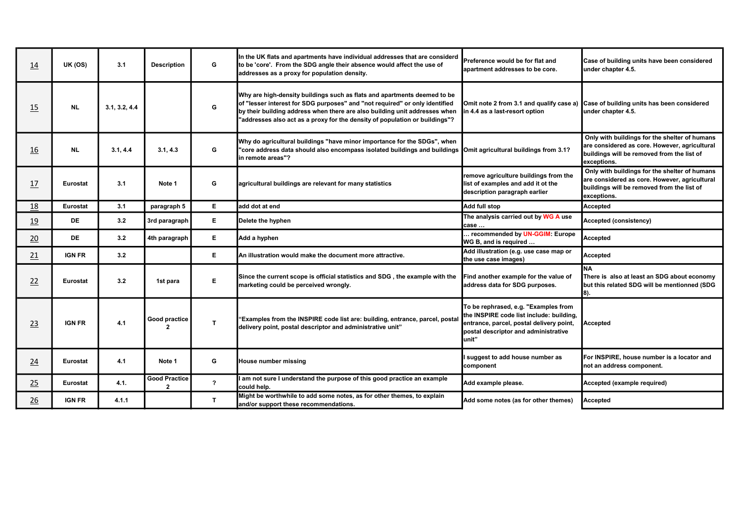| 14              | <b>UK (OS)</b>  | 3.1           | <b>Description</b>                   | G                       | In the UK flats and apartments have individual addresses that are considerd<br>to be 'core'. From the SDG angle their absence would affect the use of<br>addresses as a proxy for population density.                                                                                                                | Preference would be for flat and<br>lapartment addresses to be core.                                                                                                          | Case of building units have been considered<br>under chapter 4.5.                                                                                           |
|-----------------|-----------------|---------------|--------------------------------------|-------------------------|----------------------------------------------------------------------------------------------------------------------------------------------------------------------------------------------------------------------------------------------------------------------------------------------------------------------|-------------------------------------------------------------------------------------------------------------------------------------------------------------------------------|-------------------------------------------------------------------------------------------------------------------------------------------------------------|
| 15              | <b>NL</b>       | 3.1, 3.2, 4.4 |                                      | G                       | Why are high-density buildings such as flats and apartments deemed to be<br>of "lesser interest for SDG purposes" and "not required" or only identified<br>by their building address when there are also building unit addresses when<br>'addresses also act as a proxy for the density of population or buildings"? | in 4.4 as a last-resort option                                                                                                                                                | Omit note 2 from 3.1 and qualify case a) Case of building units has been considered<br>under chapter 4.5.                                                   |
| 16              | <b>NL</b>       | 3.1, 4.4      | 3.1, 4.3                             | G                       | Why do agricultural buildings "have minor importance for the SDGs", when<br>"core address data should also encompass isolated buildings and buildings  Omit agricultural buildings from 3.1?<br>lin remote areas"?                                                                                                   |                                                                                                                                                                               | Only with buildings for the shelter of humans<br>are considered as core. However, agricultural<br>buildings will be removed from the list of<br>exceptions. |
| 17              | <b>Eurostat</b> | 3.1           | Note 1                               | G                       | agricultural buildings are relevant for many statistics                                                                                                                                                                                                                                                              | remove agriculture buildings from the<br>list of examples and add it ot the<br>description paragraph earlier                                                                  | Only with buildings for the shelter of humans<br>are considered as core. However, agricultural<br>buildings will be removed from the list of<br>exceptions. |
| 18              | <b>Eurostat</b> | 3.1           | paragraph 5                          | E.                      | ladd dot at end                                                                                                                                                                                                                                                                                                      | Add full stop                                                                                                                                                                 | <b>Accepted</b>                                                                                                                                             |
| 19              | <b>DE</b>       | 3.2           | 3rd paragraph                        | E.                      | Delete the hyphen                                                                                                                                                                                                                                                                                                    | The analysis carried out by WG A use<br>case                                                                                                                                  | <b>Accepted (consistency)</b>                                                                                                                               |
| 20              | <b>DE</b>       | 3.2           | 4th paragraph                        | E.                      | Add a hyphen                                                                                                                                                                                                                                                                                                         | recommended by UN-GGIM: Europe<br>WG B, and is required                                                                                                                       | Accepted                                                                                                                                                    |
| 21              | <b>IGN FR</b>   | 3.2           |                                      | E.                      | An illustration would make the document more attractive.                                                                                                                                                                                                                                                             | Add illustration (e.g. use case map or<br>the use case images)                                                                                                                | Accepted                                                                                                                                                    |
| 22              | <b>Eurostat</b> | 3.2           | 1st para                             | Е                       | Since the current scope is official statistics and SDG, the example with the<br>marketing could be perceived wrongly.                                                                                                                                                                                                | Find another example for the value of<br>address data for SDG purposes.                                                                                                       | Ina<br>There is also at least an SDG about economy<br>but this related SDG will be mentionned (SDG<br>8).                                                   |
| 23              | <b>IGN FR</b>   | 4.1           | Good practice<br>$\overline{2}$      | $\mathbf{T}$            | "Examples from the INSPIRE code list are: building, entrance, parcel, postal<br>delivery point, postal descriptor and administrative unit"                                                                                                                                                                           | To be rephrased, e.g. "Examples from<br>the INSPIRE code list include: building,<br>entrance, parcel, postal delivery point,<br>postal descriptor and administrative<br>unit" | <b>Accepted</b>                                                                                                                                             |
| 24              | <b>Eurostat</b> | 4.1           | Note 1                               | G                       | <b>House number missing</b>                                                                                                                                                                                                                                                                                          | I suggest to add house number as<br>component                                                                                                                                 | For INSPIRE, house number is a locator and<br>not an address component.                                                                                     |
| 25              | <b>Eurostat</b> | 4.1.          | <b>Good Practice</b><br>$\mathbf{2}$ | $\overline{\mathbf{r}}$ | I am not sure I understand the purpose of this good practice an example<br>lcould help.                                                                                                                                                                                                                              | Add example please.                                                                                                                                                           | Accepted (example required)                                                                                                                                 |
| $\overline{26}$ | <b>IGN FR</b>   | 4.1.1         |                                      | T                       | Might be worthwhile to add some notes, as for other themes, to explain<br>and/or support these recommendations.                                                                                                                                                                                                      | Add some notes (as for other themes)                                                                                                                                          | Accepted                                                                                                                                                    |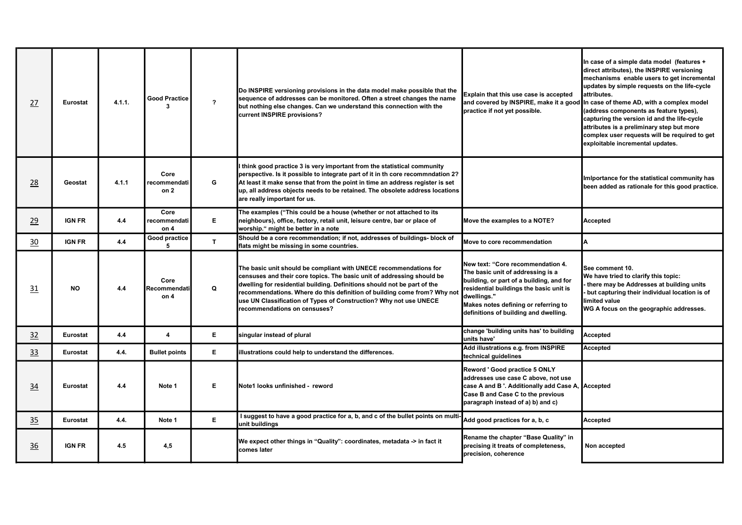| 27 | Eurostat        | 4.1.1. | <b>Good Practice</b><br>$\mathbf{3}$ | $\overline{\mathbf{r}}$ | Do INSPIRE versioning provisions in the data model make possible that the<br>sequence of addresses can be monitored. Often a street changes the name<br>but nothing else changes. Can we understand this connection with the<br>current INSPIRE provisions?                                                                                                                                              | Explain that this use case is accepted<br>practice if not yet possible.                                                                                                                                                                                       | In case of a simple data model (features +<br>direct attributes), the INSPIRE versioning<br>mechanisms enable users to get incremental<br>updates by simple requests on the life-cycle<br>attributes.<br>and covered by INSPIRE, make it a good in case of theme AD, with a complex model<br>(address components as feature types),<br>capturing the version id and the life-cycle<br>attributes is a preliminary step but more<br>complex user requests will be required to get<br>exploitable incremental updates. |
|----|-----------------|--------|--------------------------------------|-------------------------|----------------------------------------------------------------------------------------------------------------------------------------------------------------------------------------------------------------------------------------------------------------------------------------------------------------------------------------------------------------------------------------------------------|---------------------------------------------------------------------------------------------------------------------------------------------------------------------------------------------------------------------------------------------------------------|----------------------------------------------------------------------------------------------------------------------------------------------------------------------------------------------------------------------------------------------------------------------------------------------------------------------------------------------------------------------------------------------------------------------------------------------------------------------------------------------------------------------|
| 28 | Geostat         | 4.1.1  | Core<br>recommendati<br>on 2         | G                       | think good practice 3 is very important from the statistical community<br>perspective. Is it possible to integrate part of it in th core recommndation 2?<br>At least it make sense that from the point in time an address register is set<br>up, all address objects needs to be retained. The obsolete address locations<br>are really important for us.                                               |                                                                                                                                                                                                                                                               | Imiportance for the statistical community has<br>been added as rationale for this good practice.                                                                                                                                                                                                                                                                                                                                                                                                                     |
| 29 | <b>IGN FR</b>   | 4.4    | Core<br>recommendati<br>on 4         | E.                      | The examples ("This could be a house (whether or not attached to its<br>neighbours), office, factory, retail unit, leisure centre, bar or place of<br>worship." might be better in a note                                                                                                                                                                                                                | Move the examples to a NOTE?                                                                                                                                                                                                                                  | <b>Accepted</b>                                                                                                                                                                                                                                                                                                                                                                                                                                                                                                      |
| 30 | <b>IGN FR</b>   | 4.4    | Good practice<br>5                   | $\mathbf{T}$            | Should be a core recommendation; if not, addresses of buildings- block of<br>flats might be missing in some countries.                                                                                                                                                                                                                                                                                   | Move to core recommendation                                                                                                                                                                                                                                   |                                                                                                                                                                                                                                                                                                                                                                                                                                                                                                                      |
| 31 | <b>NO</b>       | 4.4    | Core<br><b>IRecommendati</b><br>on 4 | $\Omega$                | The basic unit should be compliant with UNECE recommendations for<br>censuses and their core topics. The basic unit of addressing should be<br>dwelling for residential building. Definitions should not be part of the<br>recommendations. Where do this definition of building come from? Why not<br>use UN Classification of Types of Construction? Why not use UNECE<br>recommendations on censuses? | New text: "Core recommendation 4.<br>The basic unit of addressing is a<br>building, or part of a building, and for<br>residential buildings the basic unit is<br>dwellings."<br>Makes notes defining or referring to<br>definitions of building and dwelling. | See comment 10.<br>We have tried to clarify this topic:<br>there may be Addresses at building units<br>but capturing their individual location is of<br>limited value<br>WG A focus on the geographic addresses.                                                                                                                                                                                                                                                                                                     |
| 32 | <b>Eurostat</b> | 4.4    | $\overline{\mathbf{A}}$              | E.                      | singular instead of plural                                                                                                                                                                                                                                                                                                                                                                               | change 'building units has' to building<br>units have'                                                                                                                                                                                                        | Accepted                                                                                                                                                                                                                                                                                                                                                                                                                                                                                                             |
| 33 | <b>Eurostat</b> | 4.4.   | <b>Bullet points</b>                 | E.                      | illustrations could help to understand the differences.                                                                                                                                                                                                                                                                                                                                                  | Add illustrations e.g. from INSPIRE<br>technical guidelines                                                                                                                                                                                                   | Accepted                                                                                                                                                                                                                                                                                                                                                                                                                                                                                                             |
| 34 | Eurostat        | 4.4    | Note 1                               | E.                      | Note1 looks unfinished - reword                                                                                                                                                                                                                                                                                                                                                                          | Reword ' Good practice 5 ONLY<br>addresses use case C above, not use<br>case A and B '. Additionally add Case A, Accepted<br>Case B and Case C to the previous<br>paragraph instead of a) b) and c)                                                           |                                                                                                                                                                                                                                                                                                                                                                                                                                                                                                                      |
| 35 | Eurostat        | 4.4.   | Note 1                               | E.                      | I suggest to have a good practice for a, b, and c of the bullet points on multi-<br>unit buildings                                                                                                                                                                                                                                                                                                       | Add good practices for a, b, c                                                                                                                                                                                                                                | <b>Accepted</b>                                                                                                                                                                                                                                                                                                                                                                                                                                                                                                      |
| 36 | <b>IGN FR</b>   | 4.5    | 4,5                                  |                         | We expect other things in "Quality": coordinates, metadata -> in fact it<br>lcomes later                                                                                                                                                                                                                                                                                                                 | Rename the chapter "Base Quality" in<br>precising it treats of completeness,<br>precision, coherence                                                                                                                                                          | Non accepted                                                                                                                                                                                                                                                                                                                                                                                                                                                                                                         |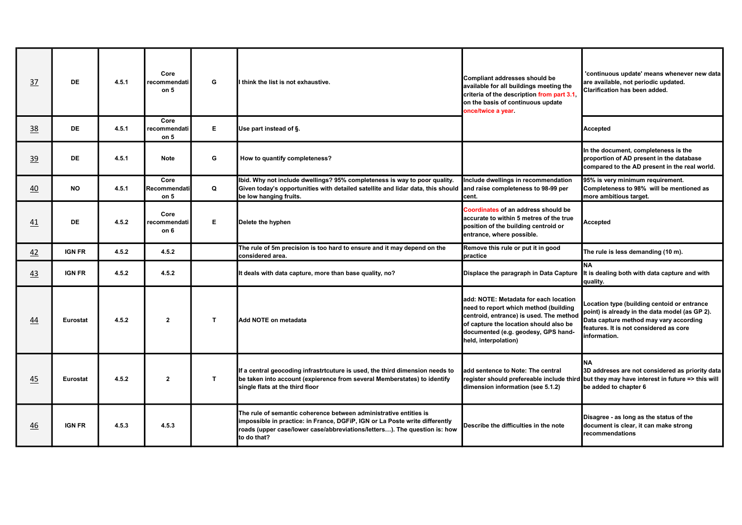| 37              | <b>DE</b>       | 4.5.1 | Core<br>recommendati<br>on 5            | G  | I think the list is not exhaustive.                                                                                                                                                                                                          | Compliant addresses should be<br>available for all buildings meeting the<br>criteria of the description from part 3.1,<br>on the basis of continuous update<br>once/twice a year.                                                  | 'continuous update' means whenever new data<br>are available, not periodic updated.<br>Clarification has been added.                                                                              |
|-----------------|-----------------|-------|-----------------------------------------|----|----------------------------------------------------------------------------------------------------------------------------------------------------------------------------------------------------------------------------------------------|------------------------------------------------------------------------------------------------------------------------------------------------------------------------------------------------------------------------------------|---------------------------------------------------------------------------------------------------------------------------------------------------------------------------------------------------|
| 38              | <b>DE</b>       | 4.5.1 | Core<br>recommendati<br>on <sub>5</sub> | E. | Use part instead of §.                                                                                                                                                                                                                       |                                                                                                                                                                                                                                    | Accepted                                                                                                                                                                                          |
| 39              | <b>DE</b>       | 4.5.1 | <b>Note</b>                             | G  | How to quantify completeness?                                                                                                                                                                                                                |                                                                                                                                                                                                                                    | In the document, completeness is the<br>proportion of AD present in the database<br>compared to the AD present in the real world.                                                                 |
| $\overline{40}$ | <b>NO</b>       | 4.5.1 | Core<br>Recommendati<br>on 5            | Q  | Ibid. Why not include dwellings? 95% completeness is way to poor quality.<br>Given today's opportunities with detailed satellite and lidar data, this should and raise completeness to 98-99 per<br>be low hanging fruits.                   | Include dwellings in recommendation<br>cent.                                                                                                                                                                                       | 95% is very minimum requirement.<br>Completeness to 98% will be mentioned as<br>more ambitious target.                                                                                            |
| 41              | <b>DE</b>       | 4.5.2 | Core<br>recommendati<br>on 6            | E. | Delete the hyphen                                                                                                                                                                                                                            | Coordinates of an address should be<br>laccurate to within 5 metres of the true<br>position of the building centroid or<br>entrance, where possible.                                                                               | Accepted                                                                                                                                                                                          |
| 42              | <b>IGN FR</b>   | 4.5.2 | 4.5.2                                   |    | The rule of 5m precision is too hard to ensure and it may depend on the<br>lconsidered area.                                                                                                                                                 | Remove this rule or put it in good<br>practice                                                                                                                                                                                     | The rule is less demanding (10 m).                                                                                                                                                                |
| 43              | <b>IGN FR</b>   | 4.5.2 | 4.5.2                                   |    | It deals with data capture, more than base quality, no?                                                                                                                                                                                      | Displace the paragraph in Data Capture                                                                                                                                                                                             | <b>NA</b><br>It is dealing both with data capture and with<br>quality.                                                                                                                            |
| 44              | <b>Eurostat</b> | 4.5.2 | $\mathbf{2}$                            | T. | Add NOTE on metadata                                                                                                                                                                                                                         | add: NOTE: Metadata for each location<br>need to report which method (building<br>centroid, entrance) is used. The method<br>of capture the location should also be<br>documented (e.g. geodesy, GPS hand-<br>held, interpolation) | Location type (building centoid or entrance<br>point) is already in the data model (as GP 2).<br>Data capture method may vary according<br>features. It is not considered as core<br>information. |
| 45              | Eurostat        | 4.5.2 | $\mathbf{2}$                            | T. | If a central geocoding infrastrtcuture is used, the third dimension needs to<br>be taken into account (expierence from several Memberstates) to identify<br>single flats at the third floor                                                  | add sentence to Note: The central<br>register should prefereable include third<br>dimension information (see 5.1.2)                                                                                                                | <b>NA</b><br>3D addreses are not considered as priority data<br>but they may have interest in future => this will<br>be added to chapter 6                                                        |
| 46              | <b>IGN FR</b>   | 4.5.3 | 4.5.3                                   |    | The rule of semantic coherence between administrative entities is<br>impossible in practice: in France, DGFiP, IGN or La Poste write differently<br>roads (upper case/lower case/abbreviations/letters). The question is: how<br>to do that? | Describe the difficulties in the note                                                                                                                                                                                              | Disagree - as long as the status of the<br>document is clear, it can make strong<br>recommendations                                                                                               |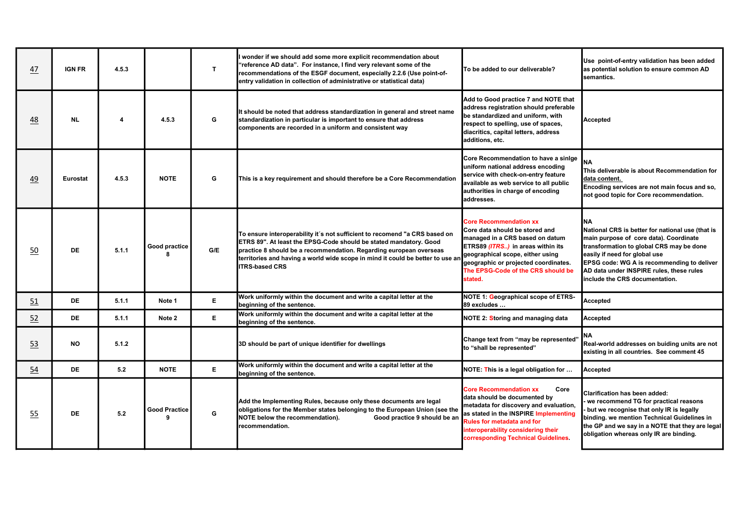| 47 | <b>IGN FR</b>   | 4.5.3 |                                  | $\mathbf{T}$ | wonder if we should add some more explicit recommendation about<br>"reference AD data". For instance, I find very relevant some of the<br>recommendations of the ESGF document, especially 2.2.6 (Use point-of-<br>entry validation in collection of administrative or statistical data)                                         | To be added to our deliverable?                                                                                                                                                                                                                                            | Use point-of-entry validation has been added<br>as potential solution to ensure common AD<br>Isemantics.                                                                                                                                                                                                   |
|----|-----------------|-------|----------------------------------|--------------|----------------------------------------------------------------------------------------------------------------------------------------------------------------------------------------------------------------------------------------------------------------------------------------------------------------------------------|----------------------------------------------------------------------------------------------------------------------------------------------------------------------------------------------------------------------------------------------------------------------------|------------------------------------------------------------------------------------------------------------------------------------------------------------------------------------------------------------------------------------------------------------------------------------------------------------|
| 48 | <b>NL</b>       |       | 4.5.3                            | G            | It should be noted that address standardization in general and street name<br>standardization in particular is important to ensure that address<br>components are recorded in a uniform and consistent way                                                                                                                       | Add to Good practice 7 and NOTE that<br>address registration should preferable<br>be standardized and uniform, with<br>respect to spelling, use of spaces,<br>diacritics, capital letters, address<br>additions, etc.                                                      | <b>Accepted</b>                                                                                                                                                                                                                                                                                            |
| 49 | <b>Eurostat</b> | 4.5.3 | <b>NOTE</b>                      | G            | This is a key requirement and should therefore be a Core Recommendation                                                                                                                                                                                                                                                          | Core Recommendation to have a sinige<br>uniform national address encoding<br>service with check-on-entry feature<br>available as web service to all public<br>authorities in charge of encoding<br>addresses.                                                              | INA<br>This deliverable is about Recommendation for<br>Idata content.<br>Encoding services are not main focus and so,<br>not good topic for Core recommendation.                                                                                                                                           |
| 50 | DE              | 5.1.1 | Good practice<br>8               | G/E          | To ensure interoperability it's not sufficient to recomend "a CRS based on<br>ETRS 89". At least the EPSG-Code should be stated mandatory. Good<br>practice 8 should be a recommendation. Regarding european overseas<br>territories and having a world wide scope in mind it could be better to use an<br><b>ITRS-based CRS</b> | <b>Core Recommendation xx</b><br>Core data should be stored and<br>managed in a CRS based on datum<br>ETRS89 (ITRS) in areas within its<br>geographical scope, either using<br>geographic or projected coordinates.<br>The EPSG-Code of the CRS should be<br>stated.       | Ina<br>National CRS is better for national use (that is<br>main purpose of core data). Coordinate<br>transformation to global CRS may be done<br>easily if need for global use<br>EPSG code: WG A is recommending to deliver<br>AD data under INSPIRE rules, these rules<br>include the CRS documentation. |
| 51 | <b>DE</b>       | 5.1.1 | Note 1                           | E.           | Work uniformly within the document and write a capital letter at the<br>beginning of the sentence.                                                                                                                                                                                                                               | NOTE 1: Geographical scope of ETRS-<br>89 excludes                                                                                                                                                                                                                         | <b>Accepted</b>                                                                                                                                                                                                                                                                                            |
| 52 | <b>DE</b>       | 5.1.1 | Note 2                           | Е.           | Work uniformly within the document and write a capital letter at the<br>beginning of the sentence.                                                                                                                                                                                                                               | NOTE 2: Storing and managing data                                                                                                                                                                                                                                          | Accepted                                                                                                                                                                                                                                                                                                   |
| 53 | <b>NO</b>       | 5.1.2 |                                  |              | 3D should be part of unique identifier for dwellings                                                                                                                                                                                                                                                                             | Change text from "may be represented<br>to "shall be represented"                                                                                                                                                                                                          | NΑ<br>Real-world addresses on buiding units are not<br>existing in all countries. See comment 45                                                                                                                                                                                                           |
| 54 | <b>DE</b>       | 5.2   | <b>NOTE</b>                      | E.           | Work uniformly within the document and write a capital letter at the<br>beginning of the sentence.                                                                                                                                                                                                                               | NOTE: This is a legal obligation for                                                                                                                                                                                                                                       | Accepted                                                                                                                                                                                                                                                                                                   |
| 55 | <b>DE</b>       | 5.2   | <b>Good Practice</b><br><b>g</b> | G            | Add the Implementing Rules, because only these documents are legal<br>obligations for the Member states belonging to the European Union (see the<br>NOTE below the recommendation).<br>Good practice 9 should be an<br>recommendation.                                                                                           | <b>Core Recommendation xx</b><br>Core<br>data should be documented by<br>metadata for discovery and evaluation,<br>as stated in the INSPIRE Implementing<br><b>Rules for metadata and for</b><br>interoperability considering their<br>corresponding Technical Guidelines. | Clarification has been added:<br>we recommend TG for practical reasons<br>but we recognise that only IR is legally<br>binding. we mention Technical Guidelines in<br>the GP and we say in a NOTE that they are legal<br>obligation whereas only IR are binding.                                            |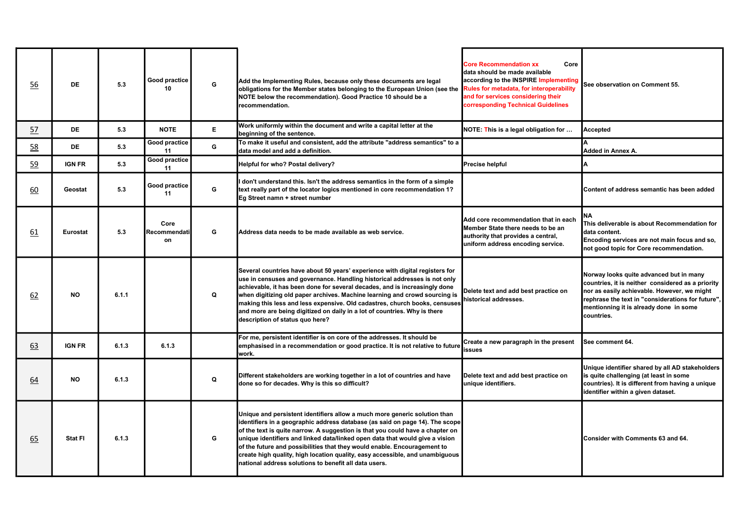| 56        | <b>DE</b>      | 5.3   | Good practice<br>10        | G  | Add the Implementing Rules, because only these documents are legal<br>obligations for the Member states belonging to the European Union (see the<br>NOTE below the recommendation). Good Practice 10 should be a<br>recommendation.                                                                                                                                                                                                                                                                                                             | <b>Core Recommendation xx</b><br>Core<br>ldata should be made available<br>according to the INSPIRE Implementing<br>Rules for metadata, for interoperability<br>and for services considering their<br>corresponding Technical Guidelines | See observation on Comment 55.                                                                                                                                                                                                                           |
|-----------|----------------|-------|----------------------------|----|-------------------------------------------------------------------------------------------------------------------------------------------------------------------------------------------------------------------------------------------------------------------------------------------------------------------------------------------------------------------------------------------------------------------------------------------------------------------------------------------------------------------------------------------------|------------------------------------------------------------------------------------------------------------------------------------------------------------------------------------------------------------------------------------------|----------------------------------------------------------------------------------------------------------------------------------------------------------------------------------------------------------------------------------------------------------|
| <u>57</u> | <b>DE</b>      | 5.3   | <b>NOTE</b>                | E. | Work uniformly within the document and write a capital letter at the<br>beginning of the sentence.                                                                                                                                                                                                                                                                                                                                                                                                                                              | NOTE: This is a legal obligation for                                                                                                                                                                                                     | <b>Accepted</b>                                                                                                                                                                                                                                          |
| 58        | <b>DE</b>      | 5.3   | Good practice<br>11        | G  | To make it useful and consistent, add the attribute "address semantics" to a<br>data model and add a definition.                                                                                                                                                                                                                                                                                                                                                                                                                                |                                                                                                                                                                                                                                          | Added in Annex A.                                                                                                                                                                                                                                        |
| 59        | <b>IGN FR</b>  | 5.3   | Good practice<br>11        |    | Helpful for who? Postal delivery?                                                                                                                                                                                                                                                                                                                                                                                                                                                                                                               | Precise helpful                                                                                                                                                                                                                          |                                                                                                                                                                                                                                                          |
| 60        | Geostat        | 5.3   | Good practice<br>11        | G  | don't understand this. Isn't the address semantics in the form of a simple<br>text really part of the locator logics mentioned in core recommendation 1?<br>Eg Street namn + street number                                                                                                                                                                                                                                                                                                                                                      |                                                                                                                                                                                                                                          | Content of address semantic has been added                                                                                                                                                                                                               |
| 61        | Eurostat       | 5.3   | Core<br>Recommendati<br>on | G  | Address data needs to be made available as web service.                                                                                                                                                                                                                                                                                                                                                                                                                                                                                         | Add core recommendation that in each<br>Member State there needs to be an<br>authority that provides a central,<br>uniform address encoding service.                                                                                     | NΑ<br>This deliverable is about Recommendation for<br>ldata content.<br>Encoding services are not main focus and so,<br>not good topic for Core recommendation.                                                                                          |
| 62        | <b>NO</b>      | 6.1.1 |                            | Q  | Several countries have about 50 years' experience with digital registers for<br>use in censuses and governance. Handling historical addresses is not only<br>achievable, it has been done for several decades, and is increasingly done<br>when digitizing old paper archives. Machine learning and crowd sourcing is<br>making this less and less expensive. Old cadastres, church books, censuses<br>and more are being digitized on daily in a lot of countries. Why is there<br>description of status quo here?                             | Delete text and add best practice on<br>historical addresses.                                                                                                                                                                            | Norway looks quite advanced but in many<br>countries, it is neither considered as a priority<br>nor as easily achievable. However, we might<br>rephrase the text in "considerations for future",<br>mentionning it is already done in some<br>countries. |
| 63        | <b>IGN FR</b>  | 6.1.3 | 6.1.3                      |    | For me, persistent identifier is on core of the addresses. It should be<br>emphasised in a recommendation or good practice. It is not relative to future<br>work.                                                                                                                                                                                                                                                                                                                                                                               | Create a new paragraph in the present<br>ssues                                                                                                                                                                                           | See comment 64.                                                                                                                                                                                                                                          |
| 64        | <b>NO</b>      | 6.1.3 |                            | Q  | Different stakeholders are working together in a lot of countries and have<br>done so for decades. Why is this so difficult?                                                                                                                                                                                                                                                                                                                                                                                                                    | Delete text and add best practice on<br>unique identifiers.                                                                                                                                                                              | Unique identifier shared by all AD stakeholders<br>is quite challenging (at least in some<br>countries). It is different from having a unique<br>identifier within a given dataset.                                                                      |
| 65        | <b>Stat FI</b> | 6.1.3 |                            | G  | Unique and persistent identifiers allow a much more generic solution than<br>identifiers in a geographic address database (as said on page 14). The scope<br>of the text is quite narrow. A suggestion is that you could have a chapter on<br>unique identifiers and linked data/linked open data that would give a vision<br>of the future and possibilities that they would enable. Encouragement to<br>create high quality, high location quality, easy accessible, and unambiguous<br>national address solutions to benefit all data users. |                                                                                                                                                                                                                                          | Consider with Comments 63 and 64.                                                                                                                                                                                                                        |